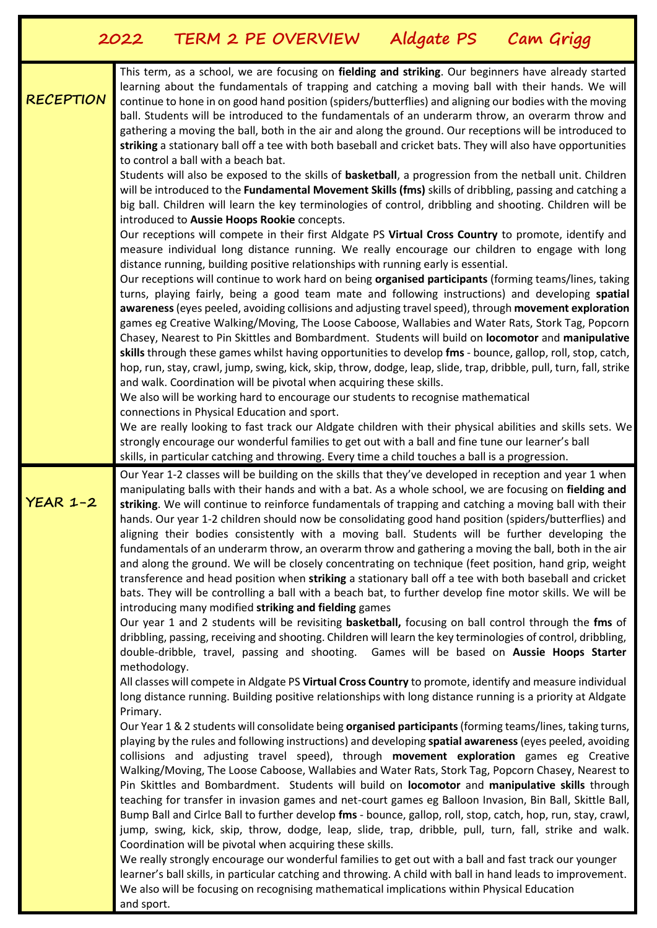|                  | TERM 2 PE OVERVIEW<br>Cam Grigg<br>Aldgate PS<br>2022                                                                                                                                                                                                                                                                                                                                                                                                                                                                                                                                                                                                                                                                                                                                                                                                                                                                                                                                                                                                                                                                                                                                                                                                                                                                                                                                                                                                                                                                                                                                                                                                                                                                                                                                                                                                                                                                                                                                                                                                                                                                                                                                                                                                                                                                                                                                                                                                                                                                                                                                                                                                                                                                                                                                                                                                                                                                                                                      |
|------------------|----------------------------------------------------------------------------------------------------------------------------------------------------------------------------------------------------------------------------------------------------------------------------------------------------------------------------------------------------------------------------------------------------------------------------------------------------------------------------------------------------------------------------------------------------------------------------------------------------------------------------------------------------------------------------------------------------------------------------------------------------------------------------------------------------------------------------------------------------------------------------------------------------------------------------------------------------------------------------------------------------------------------------------------------------------------------------------------------------------------------------------------------------------------------------------------------------------------------------------------------------------------------------------------------------------------------------------------------------------------------------------------------------------------------------------------------------------------------------------------------------------------------------------------------------------------------------------------------------------------------------------------------------------------------------------------------------------------------------------------------------------------------------------------------------------------------------------------------------------------------------------------------------------------------------------------------------------------------------------------------------------------------------------------------------------------------------------------------------------------------------------------------------------------------------------------------------------------------------------------------------------------------------------------------------------------------------------------------------------------------------------------------------------------------------------------------------------------------------------------------------------------------------------------------------------------------------------------------------------------------------------------------------------------------------------------------------------------------------------------------------------------------------------------------------------------------------------------------------------------------------------------------------------------------------------------------------------------------------|
| <b>RECEPTION</b> | This term, as a school, we are focusing on fielding and striking. Our beginners have already started<br>learning about the fundamentals of trapping and catching a moving ball with their hands. We will<br>continue to hone in on good hand position (spiders/butterflies) and aligning our bodies with the moving<br>ball. Students will be introduced to the fundamentals of an underarm throw, an overarm throw and<br>gathering a moving the ball, both in the air and along the ground. Our receptions will be introduced to<br>striking a stationary ball off a tee with both baseball and cricket bats. They will also have opportunities<br>to control a ball with a beach bat.<br>Students will also be exposed to the skills of basketball, a progression from the netball unit. Children<br>will be introduced to the Fundamental Movement Skills (fms) skills of dribbling, passing and catching a<br>big ball. Children will learn the key terminologies of control, dribbling and shooting. Children will be<br>introduced to Aussie Hoops Rookie concepts.<br>Our receptions will compete in their first Aldgate PS Virtual Cross Country to promote, identify and<br>measure individual long distance running. We really encourage our children to engage with long<br>distance running, building positive relationships with running early is essential.<br>Our receptions will continue to work hard on being organised participants (forming teams/lines, taking<br>turns, playing fairly, being a good team mate and following instructions) and developing spatial<br>awareness (eyes peeled, avoiding collisions and adjusting travel speed), through movement exploration<br>games eg Creative Walking/Moving, The Loose Caboose, Wallabies and Water Rats, Stork Tag, Popcorn<br>Chasey, Nearest to Pin Skittles and Bombardment. Students will build on locomotor and manipulative<br>skills through these games whilst having opportunities to develop fms - bounce, gallop, roll, stop, catch,<br>hop, run, stay, crawl, jump, swing, kick, skip, throw, dodge, leap, slide, trap, dribble, pull, turn, fall, strike<br>and walk. Coordination will be pivotal when acquiring these skills.<br>We also will be working hard to encourage our students to recognise mathematical<br>connections in Physical Education and sport.<br>We are really looking to fast track our Aldgate children with their physical abilities and skills sets. We<br>strongly encourage our wonderful families to get out with a ball and fine tune our learner's ball                                                                                                                                                                                                                                                                                                                                                                                             |
| $YEAR$ 1-2       | skills, in particular catching and throwing. Every time a child touches a ball is a progression.<br>Our Year 1-2 classes will be building on the skills that they've developed in reception and year 1 when<br>manipulating balls with their hands and with a bat. As a whole school, we are focusing on fielding and<br>striking. We will continue to reinforce fundamentals of trapping and catching a moving ball with their<br>hands. Our year 1-2 children should now be consolidating good hand position (spiders/butterflies) and<br>aligning their bodies consistently with a moving ball. Students will be further developing the<br>fundamentals of an underarm throw, an overarm throw and gathering a moving the ball, both in the air<br>and along the ground. We will be closely concentrating on technique (feet position, hand grip, weight<br>transference and head position when striking a stationary ball off a tee with both baseball and cricket<br>bats. They will be controlling a ball with a beach bat, to further develop fine motor skills. We will be<br>introducing many modified striking and fielding games<br>Our year 1 and 2 students will be revisiting basketball, focusing on ball control through the fms of<br>dribbling, passing, receiving and shooting. Children will learn the key terminologies of control, dribbling,<br>double-dribble, travel, passing and shooting. Games will be based on Aussie Hoops Starter<br>methodology.<br>All classes will compete in Aldgate PS Virtual Cross Country to promote, identify and measure individual<br>long distance running. Building positive relationships with long distance running is a priority at Aldgate<br>Primary.<br>Our Year 1 & 2 students will consolidate being organised participants (forming teams/lines, taking turns,<br>playing by the rules and following instructions) and developing spatial awareness (eyes peeled, avoiding<br>collisions and adjusting travel speed), through movement exploration games eg Creative<br>Walking/Moving, The Loose Caboose, Wallabies and Water Rats, Stork Tag, Popcorn Chasey, Nearest to<br>Pin Skittles and Bombardment. Students will build on locomotor and manipulative skills through<br>teaching for transfer in invasion games and net-court games eg Balloon Invasion, Bin Ball, Skittle Ball,<br>Bump Ball and Cirlce Ball to further develop fms - bounce, gallop, roll, stop, catch, hop, run, stay, crawl,<br>jump, swing, kick, skip, throw, dodge, leap, slide, trap, dribble, pull, turn, fall, strike and walk.<br>Coordination will be pivotal when acquiring these skills.<br>We really strongly encourage our wonderful families to get out with a ball and fast track our younger<br>learner's ball skills, in particular catching and throwing. A child with ball in hand leads to improvement.<br>We also will be focusing on recognising mathematical implications within Physical Education |